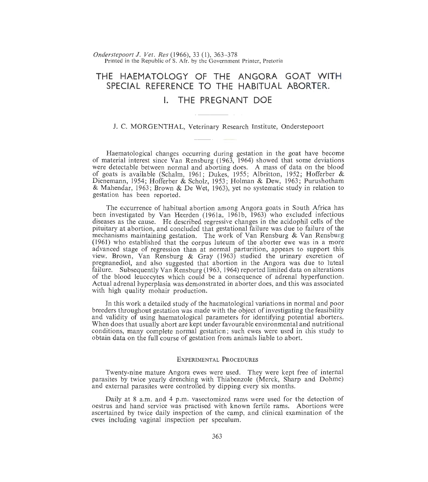*Onderstepoort* J. *Vet. Res* (1966), 33 (1), 363- 378 Printed in the Republic of S. Afr. by the Government Printer, Pretoria

# **THE HAEMATOLOGY OF THE ANGORA GOAT WITH SPECIAL REFERENCE TO THE HABITUAL ABORTER.**  I. **THE PREGNANT DOE**

## J. C. MORGENTHAL, Veterinary Research Institute, Onderstepoort

Haematological changes occurring during gestation in the goat have become of material interest since Van Rensburg (1963, 1964) showed that some deviations were detectable between normal and aborting does. A mass of data on the blood of goats is available (Schalm, 1961; Dukes, 1955; Albritton, 1952; Hofferber & Dienemann, 1954; Hofferber & Scholz, 1953; Holman & Dew, 1963; Purushotham & Mahendar, 1963 ; Brown & De Wet, 1963), yet no systematic study in relation to gestation has been reported.

The occurrence of habitual abortion among Angora goats in South Africa has been investigated by Van Heerden (1961a, 1961b, 1963) who excluded infectious diseases as the cause. He described regressive changes in the acidophil cells of the pituitary at abortion, and concluded that gestational failure was due to failure of the mechanisms maintaining gestation. The work of Van Rensburg & Van Rensburg (1961) who established that the corpus luteum of the aborter ewe was in a more advanced stage of regression than at normal parturition, appears to support this view. Brown, Van Rensburg & Gray (1963) studied the urinary excretion of pregnanediol, and also suggested that abortion in the Angora was due to luteal failure. Subsequently Van Rensburg (1963, 1964) reported limited data on alterations of the blood leucocytes which could be a consequence of adrenal hyperfunction. Actual adrenal hyperplasia was demonstrated in aborter does, and this was associated with high quality mohair production.

In this work a detailed study of the haematological variations in normal and poor breeders throughout gestation was made with the object of investigating the feasibility and validity of using haematological parameters for identifying potential aborters. When does that usually abort are kept under favourable environmental and nutritional conditions, many complete normal gestation; such ewes were used in this study to obtain data on the full course of gestation from animals liable to abort.

# ExPERIMENTAL PROCEDURES

Twenty-nine mature Angora ewes were used. They were kept free of internal parasites by twice yearly drenching with Thiabenzole (Merck, Sharp and Dohme) and external parasites were controlled by dipping every six months.

Daily at 8 a.m. and 4 p.m. vasectomized rams were used for the detection of oestrus and hand service was practised with known fertile rams. Abortions were ascertained by twice daily inspection of the camp, and clinical examination of the ewes including vaginal inspection per speculum.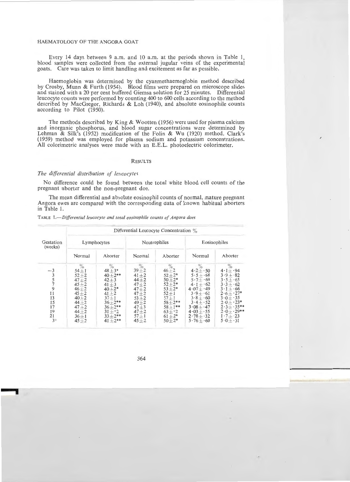Every 14 days between 9 a.m. and 10 a.m. at the periods shown in Table 1. blood samples were collected from the external jugular veins of the experimental goats. Care was taken to limit handling and excitement as far as possible.

Haemoglobin was determined by the cyanmethaemoglobin method described by Crosby, Munn & Furth (1954). Blood films were prepared on microscope slides and stained with a 20 per cent buffered Giemsa solution for 25 minutes. Differential leucocyte counts were performed by counting 400 to 600 cells according to the method described by MacGregor, Richards & Loh (1940), and absolute eosinophile counts according to Pilot (1950).

The methods described by King & Wootten (1956) were used for plasma calcium and inorganic phosphorus, and blood sugar concentrations were determined by Lehman & Silk's (1952) modification of the Folin & Wu (1920) method. Clark's (1959) method was employed for plasma sodium and potassium concentrations. All colorimetric analyses were made with an E.E.L. photoelectric colorimeter.

## **RESULTS**

#### *The differential distribution of leucocytes*

No difference could be found between the total white blood cell counts of the pregnant aborter and the non-pregnant doe.

The mean differential and absolute eosinophil counts of normal, mature pregnant Angora ewes are compared with the corresponding data of known habitual aborters in Table 1.

|                                                                           | Differential Leucocyte Concentration %                                                                                                              |                                                                                                                                                          |                                                                                                                                                   |                                                                                                                                                               |                                                                                                                                                                                             |                                                                                                                                                                                                           |  |  |  |
|---------------------------------------------------------------------------|-----------------------------------------------------------------------------------------------------------------------------------------------------|----------------------------------------------------------------------------------------------------------------------------------------------------------|---------------------------------------------------------------------------------------------------------------------------------------------------|---------------------------------------------------------------------------------------------------------------------------------------------------------------|---------------------------------------------------------------------------------------------------------------------------------------------------------------------------------------------|-----------------------------------------------------------------------------------------------------------------------------------------------------------------------------------------------------------|--|--|--|
| Gestation<br>(weeks)                                                      | Lymphocytes                                                                                                                                         |                                                                                                                                                          | Neutrophiles                                                                                                                                      |                                                                                                                                                               | Eosinophiles                                                                                                                                                                                |                                                                                                                                                                                                           |  |  |  |
|                                                                           | Normal                                                                                                                                              | Aborter                                                                                                                                                  | Normal                                                                                                                                            | Aborter                                                                                                                                                       | Normal                                                                                                                                                                                      | Aborter                                                                                                                                                                                                   |  |  |  |
| $^{-3}$<br>$\frac{3}{5}$<br>9<br>11<br>13<br>15<br>17<br>19<br>21<br>$3+$ | 70.<br>$54 + 1$<br>$52 + 2$<br>$47 + 2$<br>$45 + 2$<br>$46 + 2$<br>$45 + 2$<br>$40 + 2$<br>$44 + 2$<br>$47 + 2$<br>$44 + 2$<br>$36 + 1$<br>$45 + 2$ | $\%$<br>$48 + 3*$<br>$40 + 2**$<br>$42 + 3$<br>$41 + 3$<br>$40+2*$<br>$41 + 2$<br>$37 + 1$<br>$36 + 2**$<br>$36+2**$<br>$31 + 2$<br>$33+2**$<br>$41+2**$ | O<br>$39 + 2$<br>$41 + 2$<br>$44 + 2$<br>$47 + 2$<br>$47 + 2$<br>$47 + 2$<br>$53 + 2$<br>$49 + 2$<br>$47 + 3$<br>$47 + 2$<br>$57 + 1$<br>$45 + 2$ | $\%$<br>$46 + 2$<br>$52 + 2*$<br>$50 + 2*$<br>$52 + 2*$<br>$53 + 2*$<br>$52 + 1$<br>$57 + 1$<br>$58 + 2**$<br>$58 + 1***$<br>$63 + 2$<br>$61 + 2*$<br>$50+2*$ | $4.2 + 50$<br>$5.5 + 68$<br>$5.7 + 69$<br>$4 \cdot 1 + 62$<br>$4.07 + .49$<br>$3.9 + 61$<br>$3.8 + 60$<br>$3\cdot 4 + \cdot 52$<br>$3.08 + 47$<br>$4.03 + 55$<br>$2.78 + 32$<br>$5.76 + 60$ | %<br>$4.1 + .94$<br>$3.9 + 82$<br>$3.5 + 65$<br>$3 \cdot 3 + \cdot 62$<br>$3 \cdot 1 + 66$<br>$2.6 + 27*$<br>$3.0 + 35$<br>$2.0 + 23*$<br>$2.3 + 3.5**$<br>$2.0 + 29**$<br>$1 \cdot 7 + 23$<br>$5.0 + 31$ |  |  |  |

TABLE *1.- Differentialleucocyte and total eosinophile counts of Angora does*  -----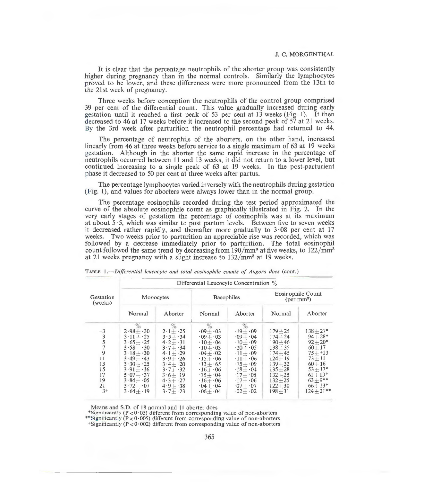It is clear that the percentage neutrophils of the aborter group was consistently higher during pregnancy than in the normal controls. Similarly the lymphocytes proved to be lower, and these differences were more pronounced from the 13th to the 21st week of pregnancy.

Three weeks before conception the neutrophils of the control group comprised 39 per cent of the differential count. This value gradually increased during early gestation until it reached a first peak of 53 per cent at 13 weeks (Fig. 1). It then decreased to 46 at 17 weeks before it increased to the second peak of 57 at 21 weeks. By the 3rd week after parturition the neutrophil percentage had returned to 44.

The percentage of neutrophils of the aborters, on the other hand, increased linearly from 46 at three weeks before service to a single maximum of 63 at 19 weeks gestation. Although in the aborter the same rapid increase in the percentage of neutrophils occurred between 11 and 13 weeks, it did not return to a lower level, but continued increasing to a single peak of 63 at 19 weeks. In the post-parturient phase it decreased to 50 per cent at three weeks after partus.

The percentage lymphocytes varied inversely with the neutrophils during gestation (Fig. 1), and values for aborters were always lower than in the normal group.

The percentage eosinophils recorded during the test period approximated the curve of the absolute eosinophile count as graphically illustrated in Fig. 2. In the very early stages of gestation the percentage of eosinophils was at its maximum at about  $5.5$ , which was similar to post partum levels. Between five to seven weeks it decreased rather rapidly, and thereafter more gradually to  $3.08$  per cent at 17 weeks. Two weeks prior to parturition an appreciable rise was recorded, which was followed by a decrease immediately prior to parturition. The total eosinophil count followed the same trend by decreasing from  $190/\text{mm}^3$  at five weeks, to  $122/\text{mm}^3$ at 21 weeks pregnancy with a slight increase to  $132/\text{mm}^3$  at 19 weeks.

|                                                                        | Differential Leucocyte Concentration $\%$                                                                                                                                                           |                                                                                                                                                                                                                      |                                                                                                                                                                                                                                                                                                       |                                                                                                                                                                                                                                                                                                                          |                                                                                                                                                                      |                                                                                                                                                                   |  |  |
|------------------------------------------------------------------------|-----------------------------------------------------------------------------------------------------------------------------------------------------------------------------------------------------|----------------------------------------------------------------------------------------------------------------------------------------------------------------------------------------------------------------------|-------------------------------------------------------------------------------------------------------------------------------------------------------------------------------------------------------------------------------------------------------------------------------------------------------|--------------------------------------------------------------------------------------------------------------------------------------------------------------------------------------------------------------------------------------------------------------------------------------------------------------------------|----------------------------------------------------------------------------------------------------------------------------------------------------------------------|-------------------------------------------------------------------------------------------------------------------------------------------------------------------|--|--|
| Gestation<br>(weeks)                                                   | Monocytes                                                                                                                                                                                           |                                                                                                                                                                                                                      | <b>Basophiles</b>                                                                                                                                                                                                                                                                                     |                                                                                                                                                                                                                                                                                                                          | <b>Eosinophile Count</b><br>$(per\, mm3)$                                                                                                                            |                                                                                                                                                                   |  |  |
|                                                                        | Normal                                                                                                                                                                                              | Aborter                                                                                                                                                                                                              | Normal                                                                                                                                                                                                                                                                                                | Aborter                                                                                                                                                                                                                                                                                                                  | Normal                                                                                                                                                               | Aborter                                                                                                                                                           |  |  |
| $-3$<br>$\frac{3}{5}$<br>9<br>11<br>13<br>15<br>17<br>19<br>21<br>$3+$ | $\%$<br>$2.98 + 30$<br>$3 \cdot 11 + 25$<br>$3.65 + 25$<br>$3.58 + 30$<br>$3.18 + 30$<br>$3.49 + .43$<br>$3.30 + 25$<br>$3.91 + 16$<br>$5.07 + 37$<br>$3.84 + 0.05$<br>$3.72 + 0.07$<br>$3.64 + 19$ | $2 \cdot 1 + \cdot 25$<br>$3.5 + 34$<br>$4 \cdot 2 + \cdot 31$<br>$3 \cdot 7 + \cdot 34$<br>$4.1 + 29$<br>$3.9 + 26$<br>$3.4 + 20$<br>$3 \cdot 7 + 32$<br>$3.6 + 19$<br>$4.3 + 27$<br>$4.9 + 38$<br>$3 \cdot 7 + 23$ | $\%$<br>$\cdot$ 09 $+$ $\cdot$ 03<br>$0.09 + 0.03$<br>$\cdot 10 + \cdot 04$<br>$\cdot 10 + \cdot 03$<br>$\cdot 04 + \cdot 02$<br>$\cdot$ 15+ $\cdot$ 06<br>$\cdot 13 + \cdot 65$<br>$\cdot 16 + \cdot 06$<br>$\cdot 15 + \cdot 04$<br>$\cdot 16 + \cdot 06$<br>$\cdot 04 + \cdot 04$<br>$0.06 + 0.04$ | $\%$<br>$\cdot$ 19 $+$ $\cdot$ 09<br>$0.09 + 0.04$<br>$\cdot 10 + \cdot 09$<br>$\cdot 20 + \cdot 05$<br>$\cdot$ 11 + $\cdot$ 09<br>$\cdot 11 + \cdot 06$<br>$\cdot$ 15+ $\cdot$ 09<br>$\cdot$ 18 $+$ $\cdot$ 04<br>$\cdot$ 17+ $\cdot$ 08<br>$\cdot$ 17+ $\cdot$ 06<br>$\cdot$ 07+ $\cdot$ 07<br>$\cdot$ 02 + $\cdot$ 02 | $179 + 25$<br>$174 + 24$<br>$190 + 46$<br>$138 + 35$<br>$174 + 45$<br>$124 + 19$<br>$139 + 32$<br>$135 + 28$<br>$132 + 25$<br>$132 + 25$<br>$122 + 30$<br>$198 + 31$ | $138 + 27*$<br>$94 + 28*$<br>$92 + 20*$<br>$60 + 17$<br>$75 + 13$<br>$73 + 11$<br>$60 + 16$<br>$53 + 17*$<br>$61 + 19*$<br>$63 + 9**$<br>$66+13*$<br>$124 + 21**$ |  |  |

TABLE *1.-Differential leucocyte and total eosinophile counts of Angora does* (cont.)

Means and S.D. of 18 normal and ll aborter does

\*Significantly (P < 0.05) different from corresponding value of non-aborters \*\*Significantly (P < 0.005) different from corresponding value of non-aborters +Significantly (P < 0.002) different from corresponding value of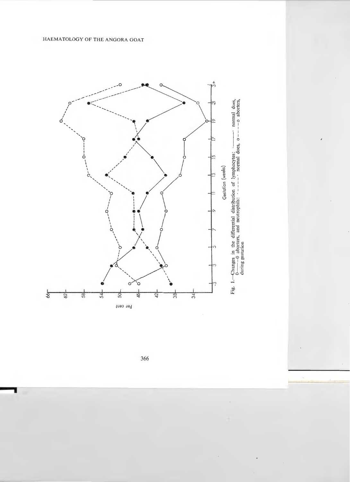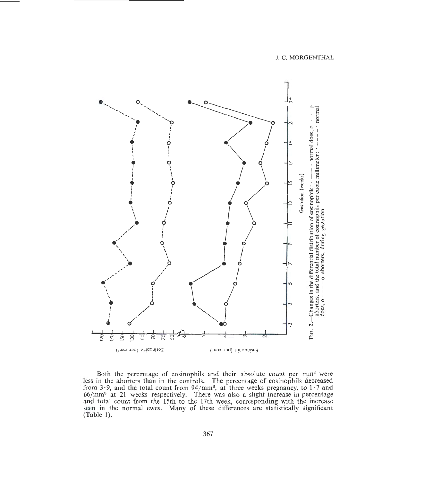Fig. 2.—Changes in the differential distribution of eosinophils:  $\cdot$  —— $\cdot$  normal does, o———o aborters, and the total number of eosinophils per cubic millimeter:  $\cdot$  -----  $\cdot$  normal does, o – – – – o aborters, during o<br>! Gestation (weeks)  $\overline{p}$  $\overline{50}$ SQ 50 ೫ Eosinophils (per mm<sup>3</sup>) Eosinophils (per cent)

Both the percentage of eosinophils and their absolute count per mm<sup>3</sup> were less in the aborters than in the controls. The percentage of eosinophils decreased from  $3.9$ , and the total count from  $94/mm^3$ , at three weeks pregnaricy, to  $1.7$  and 66/mm<sup>3</sup> at 21 weeks respectively. There was also a slight increase in percentage and total count from the 15th to the 17th week, corresponding with the increase seen in the normal ewes. Many of these differences are statistically significant  $(Table 1).$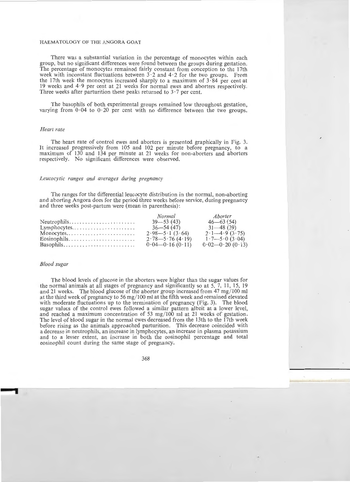There was a substantial variation in the percentage of monocytes within each group, but no significant differences were found between the groups during gestation. The percentage of monocytes remained fairly constant from conception to the 17th week with inconstant fluctuations between  $3 \cdot 2$  and  $4 \cdot 2$  for the two groups. From the 17th week the monocytes increased sharply to a maximum of 3 · 84 per cent at 19 weeks and 4 · 9 per cent at 21 weeks for normal ewes and aborters respectively. Three weeks after parturition these peaks returned to  $3 \cdot 7$  per cent.

The basophils of both experimental groups remained low throughout gestation, varying from  $0.04$  to  $0.20$  per cent with no difference between the two groups.

#### *Heart rate*

The heart rate of control ewes and aborters is presented graphically in Fig. 3. It increased progressively from 105 and 102 per minute before pregnancy, to a maximum of 130 and 134 per minute at 21 weeks for non-aborters and aborters respectively. No significant differences were observed.

## *Leucocytic ranges and averages during pregnancy*

The ranges for the differential leucocyte distribution in the normal, non-aborting and aborting Angora does for the period three weeks before service, during pregnancy and three weeks post-partum were (mean in parenthesis):

|                                                                 | Normal               | Aborter                                 |
|-----------------------------------------------------------------|----------------------|-----------------------------------------|
|                                                                 | $39 - 53(43)$        | $46 - 63(54)$                           |
| $Lymphocytes \ldots \ldots \ldots \ldots \ldots$                | $36 - 54(47)$        | $31 - 48(39)$                           |
| Monocytes                                                       | $2.98 - 5.1(3.64)$   | $2.1 - 4.9$ (3.75)                      |
| $Eosinophils. \ldots \ldots \ldots \ldots \ldots \ldots \ldots$ | $2.78 - 5.76$ (4.19) | $1 \cdot 7 - 5 \cdot 0$ (3 $\cdot 04$ ) |
|                                                                 | $0.04 - 0.16(0.11)$  | $0.02 - 0.20(0.13)$                     |

#### *Blood sugar*

The blood levels of glucose in the aborters were higher than the sugar values for the normal animals at all stages of pregnancy and significantly so at 5, 7, 11, 15, 19 and 21 weeks. The blood glucose of the aborter group increased from 47 mg/ 100 ml at the third week of pregnancy to 56 mg/ 100 ml at the fifth week and remained elevated with moderate fluctuations up to the termination of pregnancy (Fig. 3). The blood sugar values of the control ewes followed a similar pattern albeit at a lower level, and reached a maximum concentration of 53 mg/100 ml at 21 weeks of gestation. The level of blood sugar in the normal ewes decreased from the 13th to the 17th week before rising as the animals approached parturition. This decrease coincided with a decrease in neutrophils, an increase in lymphocytes, an increase in plasma potassium and to a lesser extent, an increase in both the eosinophil percentage and total eosinophil count during the same stage of pregnancy.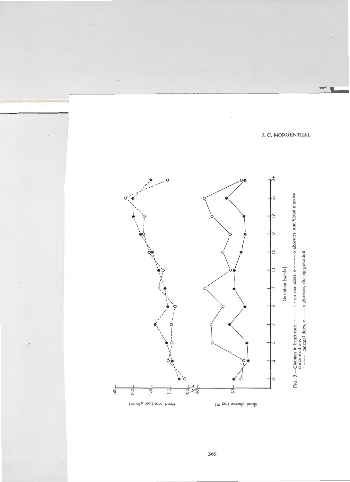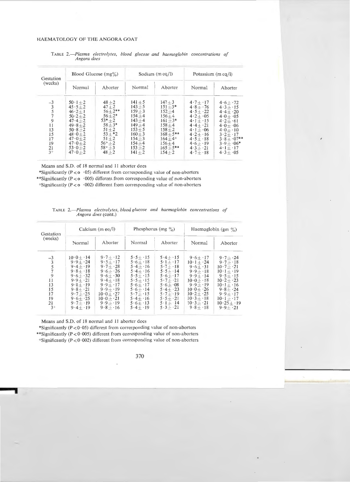| Gestation<br>(weeks)                                                   | Blood Glucose $(mg\%)$                                                                                                                                                     |                                                                                                                                           |                                                                                                                                                          | Sodium $(m \text{ eq/l})$                                                                                                                                                     | Potassium $(m \, \text{eq} / l)$                                                                                                                                                                      |                                                                                                                                                                                                        |
|------------------------------------------------------------------------|----------------------------------------------------------------------------------------------------------------------------------------------------------------------------|-------------------------------------------------------------------------------------------------------------------------------------------|----------------------------------------------------------------------------------------------------------------------------------------------------------|-------------------------------------------------------------------------------------------------------------------------------------------------------------------------------|-------------------------------------------------------------------------------------------------------------------------------------------------------------------------------------------------------|--------------------------------------------------------------------------------------------------------------------------------------------------------------------------------------------------------|
|                                                                        | Normal                                                                                                                                                                     | Aborter                                                                                                                                   | Normal                                                                                                                                                   | Aborter                                                                                                                                                                       | Normal                                                                                                                                                                                                | Aborter                                                                                                                                                                                                |
| $-3$<br>$\frac{3}{5}$<br>9<br>11<br>13<br>15<br>17<br>19<br>21<br>$3+$ | $50 \cdot 1 + 2$<br>$45.5 + 2$<br>$46.2 + 1$<br>$50.2 + 2$<br>$47.4 + 2$<br>$49.8 + 2$<br>$50.8 + 2$<br>$48.0 + 2$<br>$47.0 + 2$<br>$47.0 + 2$<br>$53.0 + 2$<br>$47.0 + 2$ | $48 + 2$<br>$47 + 2$<br>$56+2**$<br>$56+2*$<br>$53*+2$<br>$58 + 3*$<br>$51 + 2$<br>$53 + 2$<br>$51 + 2$<br>$56++2$<br>$58++3$<br>$48 + 2$ | $141 + 5$<br>$143 + 5$<br>$159 + 3$<br>$154 + 4$<br>$143 + 4$<br>$149 + 4$<br>$153 + 5$<br>$160 + 3$<br>$154 + 3$<br>$154 + 4$<br>$153 + 2$<br>$141 + 2$ | $147 + 3$<br>$151 + 3*$<br>$152 + 4$<br>$156 + 4$<br>$161 + 3*$<br>$158 + 4$<br>$158 + 2$<br>$168 + 5$ **<br>$164 + 4$ <sup>+</sup><br>$156 + 4$<br>$165 + 5$ **<br>$154 + 2$ | $4.7 + 17$<br>$4.8 + .76$<br>$4.5 + 22$<br>$4.2 + 0.05$<br>$4 \cdot 1 + \cdot 15$<br>$4.4 + 21$<br>$4 \cdot 1 + 06$<br>$4 \cdot 2 + \cdot 16$<br>$4.5 + 18$<br>$4.6 + 19$<br>$4.3 + 21$<br>$4.7 + 18$ | $4.6 + .72$<br>$4.3 + 15$<br>$4.4 + 20$<br>$4.0 + 0.05$<br>$4.2 + 61$<br>$4.0 + 0.06$<br>$4.0 + 10$<br>$3 \cdot 2 + \cdot 17$<br>$3.8 + 07**$<br>$3.9 + 06*$<br>$4 \cdot 1 + \cdot 17$<br>$4.3 + 0.05$ |

TABLE 2.-Plasma electrolytes, blood glucose and haemoglobin concentrations of *Angora does* 

Means and S.D. of 18 normal and 11 aborter does

\*Significantly ( $P < 0.05$ ) different from corresponding value of non-aborters

\*\*Significantly ( $P < o$  ·005) different from corresponding value of non-aborters

 $+$ Significantly (P <  $\circ$   $\cdot$  002) different from corresponding value of non-aborters

| Gestation<br>(weeks)                                                        | Calcium $(m \text{ eq/l})$                                                                                                                                            |                                                                                                                                                                        |                                                                                                                                                                      | Phosphorus (mg $\%$ )                                                                                                                                                                                     | Haemoglobin (gm $\%$ )                                                                                                                                                                                   |                                                                                                                                                                                                                             |  |
|-----------------------------------------------------------------------------|-----------------------------------------------------------------------------------------------------------------------------------------------------------------------|------------------------------------------------------------------------------------------------------------------------------------------------------------------------|----------------------------------------------------------------------------------------------------------------------------------------------------------------------|-----------------------------------------------------------------------------------------------------------------------------------------------------------------------------------------------------------|----------------------------------------------------------------------------------------------------------------------------------------------------------------------------------------------------------|-----------------------------------------------------------------------------------------------------------------------------------------------------------------------------------------------------------------------------|--|
|                                                                             | Normal                                                                                                                                                                | Aborter                                                                                                                                                                | Normal                                                                                                                                                               | Aborter                                                                                                                                                                                                   | Normal                                                                                                                                                                                                   | Aborter                                                                                                                                                                                                                     |  |
| $\frac{-3}{3}$<br>$\frac{5}{7}$<br>11<br>13<br>15<br>17<br>19<br>21<br>$3+$ | $10.0 + 14$<br>$9.9 + 24$<br>$9.4 + 19$<br>$9.8 + 18$<br>$9.6 + 32$<br>$9.9 + 21$<br>$9.8 + 19$<br>$9.8 + 21$<br>$9.7 + 25$<br>$9.6 + 25$<br>$9.7 + 19$<br>$9.4 + 19$ | $9.7 + 12$<br>$9.5 + 17$<br>$9.7 + 28$<br>$9.6 + 26$<br>$9.6 + 30$<br>$9.4 + 18$<br>$9.9 + 17$<br>$9.9 + 19$<br>$10.0 + 27$<br>$10.0 + 21$<br>$9.9 + 19$<br>$9.8 + 16$ | $5.5 + 15$<br>$5.6 + 18$<br>$5.4 + 16$<br>$5.4 + 16$<br>$5.5 + 15$<br>$5.5 + 15$<br>$5.6 + 17$<br>$5.6 + 14$<br>$5.7 + 15$<br>$5.4 + 16$<br>$5.6 + 13$<br>$5.4 + 19$ | $5.4 + 15$<br>$5 \cdot 1 + \cdot 17$<br>$5\cdot 7 + \cdot 18$<br>$5.5 + 14$<br>$5.6 + 17$<br>$5.7 + 21$<br>$5.6 + 0.08$<br>$5.4 + 23$<br>$5.7 + 19$<br>$5.5 + 21$<br>$5 \cdot 1 + \cdot 14$<br>$5.3 + 21$ | $9.6 + 17$<br>$10 \cdot 1 + 24$<br>$9.6 + 31$<br>$9.9 + 18$<br>$9.9 + 14$<br>$10 \cdot 0 + 18$<br>$9.9 + 19$<br>$10.0 + 26$<br>$10.2 + 25$<br>$10 \cdot 3 + \cdot 18$<br>$10 \cdot 3 + 21$<br>$9.8 + 18$ | $9.7 + 24$<br>$9.7 + 18$<br>$10 \cdot 7 + 21$<br>$10 \cdot 1 + \cdot 19$<br>$9.5 + 15$<br>$10 \cdot 2 + 23$<br>$10 \cdot 1 + \cdot 16$<br>$9.8 + 24$<br>$9.9 + 17$<br>$10 \cdot 1 + \cdot 17$<br>$10.25 + 19$<br>$9.9 + 21$ |  |

|  |                            |  | TABLE 2.—Plasma electrolytes, blood glucose and haemoglobin concentrations of |  |
|--|----------------------------|--|-------------------------------------------------------------------------------|--|
|  | <i>Angora does</i> (cont.) |  |                                                                               |  |

Means and S.D. of 18 normal and 11 aborter does

\*Significantly ( $P < 0.05$ ) different from corresponding value of non-aborters

\*\*Significantly ( $P < 0.005$ ) different from corresponding value of non-aborters

 $+$ Significantly (P < 0.002) different from corresponding value of non-aborters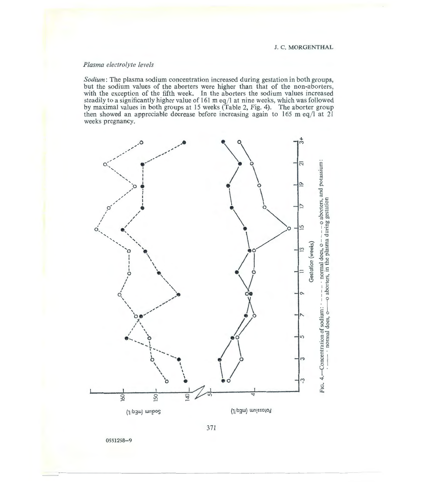# *Plasma electrolyte levels*

*Sodium:* The plasma sodium concentration increased during gestation in both groups, but the sodium values of the aborters were higher than that of the non-aborters, with the exception of the fifth week. In the aborters the sodium values increased steadily to a significantly higher value of 161 m eq/l at nine weeks, which was followed by maximal values in both groups at 15 weeks (Table 2, Fig. 4). The aborter group then showed an appreciable decrease before increasing again to  $165$  m eq/l at  $21$ weeks pregnancy.

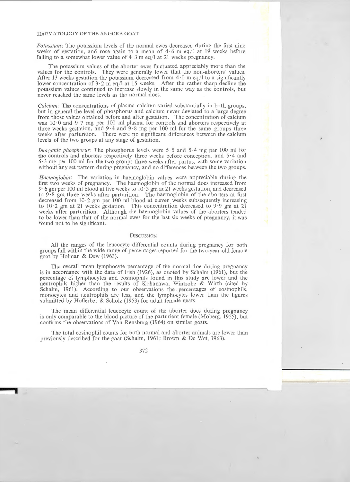*Potassium:* The potassium levels of the normal ewes decreased during the first nine weeks of gestation, and rose again to a mean of  $4.6$  m eq/l at 19 weeks before falling to a somewhat lower value of  $4.3$  m eq/l at 21 weeks pregnancy.

The potassium values of the aborter ewes fluctuated appreciably more than the values for the controls. They were generally lower that the non-aborters' values. After 13 weeks gestation the potassium decreased from  $4.0$  m eq/l to a significantly lower concentration of  $3.2 \text{ m}$  eq/l at 15 weeks. After the rather sharp decline the potassium values continued to increase slowly in the same way as the controls, but never reached the same levels as the normal does.

*Calcium:* The concentrations of plasma calcium varied substantially in both groups, but in general the level of phosphorus and calcium never deviated to a large degree from those values obtained before and after gestation. The concentration of calcium was  $10.0$  and  $9.7$  mg per 100 ml plasma for controls and aborters respectively at three weeks gestation, and  $9.4$  and  $9.8$  mg per 100 ml for the same groups three weeks after parturition. There were no significant differences between the calcium levels of the two groups at any stage of gestation.

*Inorganic phosphorus:* The phosphorus levels were 5.5 and 5.4 mg per 100 ml for the controls and aborters respectively three weeks before conception, and 5 · 4 and 5 · 3 mg per 100 ml for the two groups three weeks after partus, with some variation without any set pattern during pregnancy, and no differences between the two groups.

*Haemoglobin:* The variation in haemoglobin values were appreciable during the first two weeks of pregnancy. The haemoglobin of the normal does increased from 9 · 6 gm per IOO ml blood at five weeks to 10· 3 gm at 21 weeks gestation, and decreased to 9 · 8 gm three weeks after parturition. The haemoglobin of the aborters at first decreased from 10·2 gm per 100 ml blood at eleven weeks subsequently increasing to  $10.2$  gm at 21 weeks gestation. This concentration decreased to  $9.9$  gm at 21 weeks after parturition. Although the haemoglobin values of the aborters tended to be lower than that of the normal ewes for the last six weeks of pregnancy, it was found not to be significant.

#### **DISCUSSION**

All the ranges of the leucocyte differential counts during pregnancy for both groups fall within the wide range of percentages reported for the two-year-old female goat by Holman & Dew (1963).

The overall mean lymphocyte percentage of the normal doe during pregnancy is in accordance with the data of Fish (1926), as quoted by Schalm (1961), but the percentage of lymphocytes and eosinophils found in this study are lower and the neutrophils higher than the results of Kohanawa, Wintrobe & Wirth (cited by Schalm, 1961). According to our observations the percentages of eosinophils, monocytes and neutrophils are less, and the lymphocytes lower than the figures submitted by Hofferber & Scholz (1953) for adult female goats.

The mean differential leucocyte count of the aborter does during pregnancy is only comparable to the blood picture of the parturient female (Moberg, 1955), but confirms the observations of Van Rensburg (1964) on similar goats.

The total eosinophil counts for both normal and aborter animals are lower than previously described for the goat (Schalm, 1961; Brown & De Wet, 1963).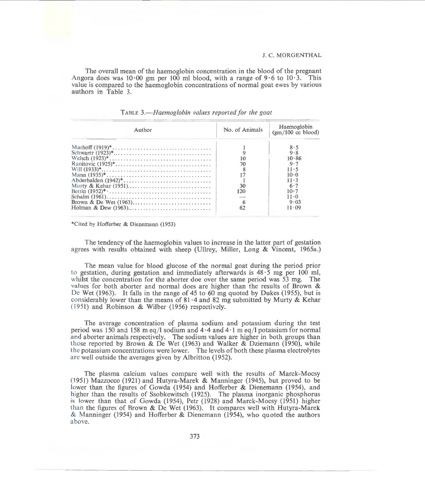The overall mean of the haemoglobin concentration in the blood of the pregnant Angora does was  $10.00$  gm per 100 ml blood, with a range of 9.6 to  $10.3$ . This value is compared to the haemoglobin concentrations of normal goat ewes by various authors in Table 3.

| Author              | No. of Animals | Haemoglobin<br>$(gm/100 \text{ cc blood})$ |
|---------------------|----------------|--------------------------------------------|
|                     |                | 8.5                                        |
|                     |                | $9 - 8$                                    |
|                     |                | 10.86                                      |
|                     |                | 9.7                                        |
|                     |                | 11.5                                       |
|                     |                | 10.0                                       |
| Abderhalden (1942)* |                | $11 - 3$                                   |
|                     | 30             | 6.7                                        |
|                     | 120            | $10-7$                                     |
|                     |                | $11 \cdot \Omega$                          |
|                     |                | 9.03                                       |
|                     | 62             | 11.09                                      |

TABLE *3.- Haemoglobin values reported for the goat* 

\*Cited by Hofferber & Dienemann (1953)

The tendency of the haemoglobin values to increase in the latter part of gestation agrees with results obtained with sheep (Ullrey, Miller, Long & Vincent, 1965a.)

The mean value for blood glucose of the normal goat during the period prior to gestation, during gestation and immediately afterwards is  $48 \cdot 5$  mg per 100 ml, whilst the concentration for the aborter doe over the same period was  $53 \text{ mg}$ . The values for both aborter and normal does are higher than the results of Brown & De Wet (1963). It falls in the range of 45 to 60 mg quoted by Dukes (1955), but is considerably lower than the means of  $81 \cdot 4$  and  $82$  mg submitted by Murty & Kehar  $(1951)$  and Robinson & Wilber (1956) respectively.

The average concentration of plasma sodium and potassium during the test period was 150 and 158 m eq/l sodium and  $4.4$  and  $4.1$  m eq/l potassium for normal and aborter animals respectively. The sodium values are higher in both groups than those reported by Brown & De Wet (1963) and Walker & Dziemann (1950), while the potassium concentrations were lower. The levels of both these plasma electrolytes are well outside the averages given by Albritton (1952).

The plasma calcium values compare well with the results of Marck-Mocsy (1951) Mazzocco (1921) and Hutyra-Marek & Manninger (1945), but proved to be lower than the figures of Gowda (1954) and Hofferber & Dienemann (1954), and higher than the results of Ssobkewitsch (1925). The plasma inorganic phosphorus is lower than that of Gowda (1954), Petr (1928) and Marck-Mocsy (1951) higher than the figures of Brown & De Wet (1963). It compares well with Hutyra-Marek & Manninger (1954) and Hofferber & Dienemann (1954), who quoted the authors above.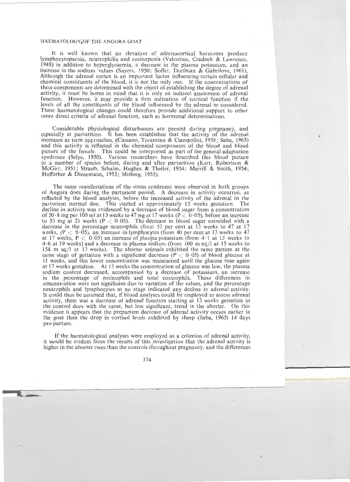It is well known that an elevation of adrenocortical hormones produce lymphocytopaenia, neutrophilia and eosinopenia (Valentine, Cradock & Lawrence, 1948) in addition to hyperglycaemia, a decrease in the plasma potassium, and an increase in the sodium values (Sayers, 1950; Soffer, Dorfman & Gabrilove, 1961). Although the adrenal cortex is an important factor influencing certain cellular and chemical constituents of the hlood, it is not the only one. If the concentrations of these components are determined with the object of establishing the degree of adrenal activity, it must he borne in mind that it is only an indirect assessment of adrenal function. However, it may provide a firm indication of cortical function if the levels of all the constituents of the blood influenced by the adrenal be considered. These haematological changes could therefore provide additional support to other more direct criteria of adrenal function, such as hormonal determinations.

Considerable physiological disturbances are present during pregnancy, and especially at parturition. It has been established that the activity of the adrenal increases as term approaches, (Cassano, Tarantino & Ciampolini, 1958; Saba, 1965) and this activity is reflected in the chemical components of the blood and blood picture of the female. This could be interpreted as part of the general adaptation syndrome (Selye, 1950). Various researchers have described this blood picture in a number of species before, during and after parturition (Kerr, Robertson & McGirr, 1951; Straub, Schalm, Hughes & Theiler, 1954; Merrill & Smith, 1954; Hofferber & Dienemann, 1953; Moberg, 1955).

The same manifestations of the stress syndrome were observed in both groups of Angora does during the parturient period. A decrease in activity occurred, as reflected by the blood analyses, before the increased activity of the adrenal in the parturient normal doe. This started at approximately 13 weeks gestation. The decline in activity was evidenced by a decrease of blood sugar from a concentration of 50  $\cdot$  8 mg per 100 ml at 13 weeks to 47 mg at 17 weeks (P  $\lt$  0  $\cdot$  05), before an increase to 53 mg at 21 weeks ( $P < 0.05$ ). The decrease in blood sugar coincided with a decrease in the percentage neutrophils (from 53 per cent at  $1\overline{3}$  weeks to 47 at 17 weeks,  $(P < 0.05)$ , an increase in lymphocytes (from 40 per cent at 13 weeks to 47 at 17 weeks,  $P < 0.05$ ) an increase of plasma potassium (from 4.1 at 13 weeks to 4.6 at 19 weeks) and a decrease in plasma sodium (from 160 m eq/l at 15 weeks to 154 m eq/1 at 17 weeks). The aborter animals exhibited the same pattern at the same stage of gestation with a significant decrease ( $P < 0.05$ ) of blood glucose at 11 weeks, and this lower concentration was maintained until the glucose rose again at 17 weeks gestation. At 15 weeks the concentration of glucose was low, the plasma sodium content decreased, accompanied by a decrease of potassium, an increase in the percentage of eosinophils and total eosinophils. These differences in concentration were not significant due to variation of the values, and the percentage neutrophils and lymphocytes at no stage indicated any decline in adrenal activity. It could thus be assumed that, if blood analyses could be employed to assess adrenal activity, there was a decrease of adrenal function starting at 13 weeks gestation in the control does with the same, but less significant, trend in the aborter. On this evidence it appears that the prepartum decrease of adrenal activity occurs earlier in the goat than the drop in cortisol levels exhibited by sheep (Saba, 1965) 14 days pre-partum.

If the haematological analyses were employed as a criterion of adrenal activity, it would be evident from the results of this investigation that the adrenal activity is higher in the aborter ewes than the controls throughout pregnancy, and the differences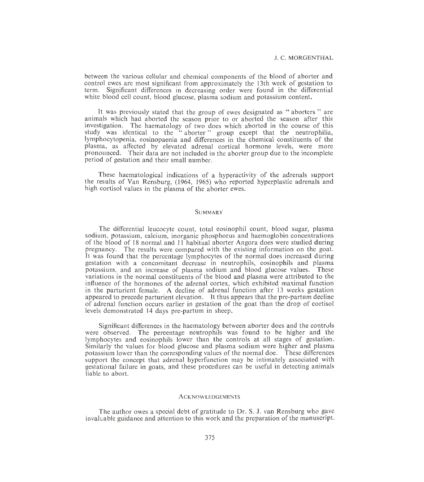between the various cellular and chemical components of the blood of aborter and control ewes are most significant from approximately the 13th week of gestation to term. Significant differences in decreasing order were found in the differential white blood cell count, blood glucose, plasma sodium and potassium content.

It was previously stated that the group of ewes designated as " aborters " are animals which had aborted the season prior to or aborted the season after this investigation. The haernatology of two does which aborted in the course of this study was identical to the "aborter" group except that the neutrophilia, lymphocytopenia, eosinopaenia and differences in the chemical constituents of the plasma, as affected by elevated adrenal cortical hormone levels, were more pronounced. Their data are not included in the aborter group due to the incomplete period of gestation and their small number.

These haematological indications of a hyperactivity of the adrenals support the results of Van Rensburg, (1964, 1965) who reported hyperplastic adrenals and high cortisol values in the plasma of the aborter ewes.

## **SUMMARY**

The differential leucocyte count, total eosinophil count, blood sugar, plasma sodium, potassium, calcium, inorganic phosphorus and haemoglobin concentrations of the blood of 18 normal and 11 habitual aborter Angora does were studied during pregnancy. The results were compared with the existing information on the goat. It was found that the percentage lymphocytes of the normal does increased during gestation with a concomitant decrease in neutrophils, eosinophils and plasma potassium. and an increase of plasma sodium and blood glucose values. These variations in the normal constituents of the blood and plasma were attributed to the influence of the hormones of the adrenal cortex, which exhibited maximal function in the parturient female. A decline of adrenal function after 13 weeks gestation appeared to precede parturient elevation. It thus appears that the pre-partum decline of adrenal function occurs earlier in gestation of the goat than the drop of cortisol levels demonstrated 14 days pre-partum in sheep.

Significant differences in the haematology between aborter does and the coutrvls were observed. The percentage neutrophils was found to be higher and the lymphocytes and eosinophils lower than the controls at all stages of gestation. Similarly the values for blood glucose and plasma sodium were higher and plasma potassium lower than the corresponding values of the normal doe. These differences support the concept that adrenal hyperfunction may be intimately associated with gestational failure in goats, and these procedures can be useful in detecting animals liable to abort.

#### **ACKNOWLEDGEMENTS**

The author owes a special debt of gratitude to Dr. S. J. van Rensburg who gave invaluable guidance and attention to this work and the preparation of the manuscript.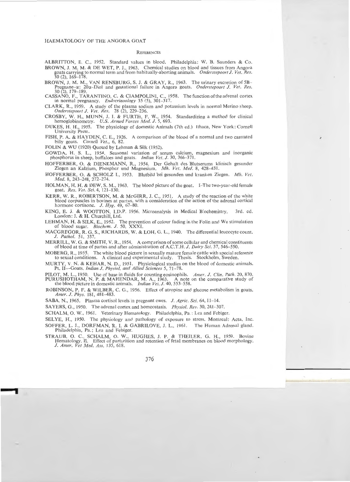#### **REFERENCES**

- ALBRITTON, E. C., 1952. Standard values in blood. Philadelphia: W. B. Saunders & Co. BROWN, J. M. M. & DE WET, P. J., 1963. Chemical studies on blood and tissues from Angora goats carrying to normal term and from habitually-aborting animals. Onderstepoort J. Vet. Res.
- $30$  (2), 169–178.<br>BROWN, J. M. M., VAN RENSBURG, S. J. & GRAY, R., 1963. The urinary excretion of 5B-BROWN, J. M. M., VAN RENSBURG, S. J. & GRAY, R., 1963. The urinary excretion of 5B- Pregnane- o:: 20o:- Diol and gestational failure in Angora goats. *Onderstepoort* f. *Ver. Res.* 30 (2), 179- 189.
- CASSANO, F., TARANTINO, C. & CIAMPOLINI, C., 1958. The function of the adrenal cortex in normal pregnancy. *Endocrinoology* 35 (5), 301-317.
- CLARK, R., 1959. A study of the plasma sodium and potassium levels in normal Merino sheep. *Onderstepoort* f. *Vet. Res.* 28 (2), 229- 236.
- CROSBY, W. H., MUNN, J. I. & FURTH, F. W., 1954. Standardizing a method for clinical hemoglobinometry. *U.S. Armed Forces Med. J.* 5, 693.
- DUKES, H . H., 1955. The physiology of domestic Animals (7th ed.) Lthaca, New York: Cornell University Press.
- FISH, P. A. & HAYDEN, C. E., 1926. A comparison of the blood of a normal and two castrated billy goats. *Cornell Vet.*, 6, 82.
- FOLIN & WU (1920) Quoted by Lehman & Silk (1952).
- GOWDA, H. S. L., 1954. Seasonal variation of serum calcium, magnesium and inorganic phosphorus in sheep, buffaloes and goats. *Indian Vet. J.* 30, 366-371.
- HOFFERBER, 0. & DlENEMANN, R. , 1954. Der Gehalt des Blutserums klinisch gesunder Ziegen an Kalzium, Phosphor und Magnesium. Mh. Vet. Med. 8, 428-431.
- HOFFERBER, O. & SCHOLZ I., 1953. Blutbild bei gesunden und kranken Ziegen. *Mh. Vet. Med.* 8, 243-248, 272-274.
- HOLMAN, H. H. & DEW, S. M., 1963. The blood picture of the goat. I-The two-year-old female goat. *Res. Vet. Sci.* 4, 121-130.
- KERR, W. R., ROBERTSON, M. & McGIRR, J. C., 1951. A study of the reaction of the white blood corpuscles in bovines at partus, with a consideration of the action of the adrenal cortical hormone cortisone. *J. Hyg.* 49, 67-80.
- KING, E. J. & WOOTTON, I.D.P. 1956. Microanalysis in Medical B:ochemistry. 3rd. ed. London: J. & H. Churchill, Ltd.
- LEHMAN, H. & SILK, E., 1952. The prevention of colour fading in the Folin and Wu stimulation of blood sugar. *Biochem. J.* 50, XXXI.
- MACGREGOR, R. G. S., RICHARDS, W. & LOH, G . L. , 1940. The differential leucocyte count. J. Pathol. 51, 337.
- MERRILL, W. G. & SMITH, V. R., 1954. A comparison of some cellular and chemical constituents of blood at time of partus and after administration of A.C.T.H. *J. Dairy Sci.* 37, 546–550.
- MOBERG, R. , 1955. The white blood picture in sexually mature female cattle with special reference to sexual conditions. A clinical and experimental study. Thesis. Stockholm, Sweden.
- MURTY, V. N. & KEHAR, N. D., 1951. Physiological studies on the blood of domestic animals. Pt. II-Goats. *Indian J. Physiol. and Allied Sciences* 5, 71-78.
- PILOT, M. L., 1950. Use of base in fluids for counting eosinophils. *Amer. J. Clin. Path.* 20, 870.
- PURUSHOTHAM, N. P. & MAHENDAR, M. A., 1963. A note on the comparative study of the blood picture in domestic animals. *Indian Vet. J.* 40, 553–558.
- ROBINSON, P. F. & WILBER, C. G., 1956. Effect of atropine and glucose metabolism in goats. Amer. *J. Phys.* 181, 481-483.
- SABA, N., 1965. Plasma cortisol levels in pregnant ewes. J. Agric. Sci. 64, 11-14.
- SAYERS, G., 1950. The adrenal cortex and homeostasis. *Physiol. Rev.* 30. 241-307.
- SCHALM, 0. W., 1961. Veterinary Hematology. Philadelphia, Pa.: Lea and Febiger.
- SELYE, H., 1950. The physiology and pathology of exposure to stress. Montreal: Acta, Inc.
- SOFFER, L. J., DORFMAN, R. I. & GABRILOVE, J. L., 1961. The Human Adrenal gland. Philadelphia, Pa.; Lea and Febiger.
- STRAUB, O. C., SCHALM, O. W., HUGHES, J. P. & THEILER, G. H., 1959. Bovine Hematology. II. Effect of parturition and retention of fetal membranes on blood morphology. J. *Amer. Vet Med. Ass.* 135, 618.